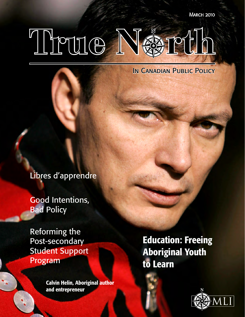**MARCH 2010** 

# True N&rt

IN CANADIAN PUBLIC POLICY

Libres d'apprendre

Good Intentions, **Bad Policy** 

Reforming the Post-secondary Student Support Program

> Calvin Helin, Aboriginal author and entrepreneur

Education: Freeing Aboriginal Youth to Learn

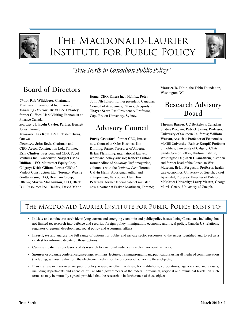

# The Macdonald-Laurier Institute for Public Policy



*"True North in Canadian Public Policy"*

### Board of Directors

*Chair:* **Rob Wildeboer**, Chairman, Martinrea International Inc., Toronto *Managing Director:* **Brian Lee Crowley**, former Clifford Clark Visiting Economist at Finance Canada *Secretary:* **Lincoln Caylor,** Partner, Bennett Jones, Toronto *Treasurer:* **Les Kom**, BMO Nesbitt Burns, **Ottawa** *Directors:* **John Beck**, Chairman and CEO, Aecon Construction Ltd., Toronto; **Erin Chutter**, President and CEO, Puget Ventures Inc., Vancouver; **Navjeet (Bob) Dhillon**, CEO, Mainstreet Equity Corp., Calgary; **Keith Gillam**, former CEO of VanBot Construction Ltd., Toronto; **Wayne Gudbranson**, CEO, Branham Group, Ottawa; **Martin MacKinnon**, CFO, Black Bull Resources Inc., Halifax; **David Mann**,

former CEO, Emera Inc., Halifax; **Peter John Nicholson**, former president, Canadian Council of Academies, Ottawa; **Jacquelyn Thayer Scott**, Past President & Professor, Cape Breton University, Sydney.

### Advisory Council

**Purdy Crawford**, former CEO, Imasco, now Counsel at Osler Hoskins; **Jim Dinning**, former Treasurer of Alberta; **Brian Flemming**, international lawyer, writer and policy advisor; **Robert Fulford**, former editor of *Saturday Night* magazine, columnist with the *National Post*, Toronto; **Calvin Helin**, Aboriginal author and entrepreneur, Vancouver; **Hon. Jim Peterson**, former federal cabinet minister, now a partner at Fasken Martineau, Toronto; **Maurice B. Tobin**, the Tobin Foundation, Washington DC.

#### Research Advisory Board

**Thomas Barnes**, UC Berkeley's Canadian Studies Program; **Patrick James**, Professor, University of Southern California; **William Watson**, Associate Professor of Economics, McGill University; **Rainer Knopff**, Professor of Politics, University of Calgary; **Chris Sands**, Senior Fellow, Hudson Institute, Washington DC; **Jack Granatstein**, historian and former head of the Canadian War Museum; **Brian Ferguson**, Professor, health care economics, University of Guelph; **Janet Ajzenstat**, Professor Emeritus of Politics, McMaster University; **Larry Martin**, George Morris Centre, University of Guelph.

#### The Macdonald-Laurier Institute for Public Policy exists to:

- **• Initiate** and conduct research identifying current and emerging economic and public policy issues facing Canadians, including, but not limited to, research into defence and security, foreign policy, immigration, economic and fiscal policy, Canada-US relations, regulatory, regional development, social policy and Aboriginal affairs;
- **• Investigate** and analyse the full range of options for public and private sector responses to the issues identified and to act as a catalyst for informed debate on those options;
- **• Communicate** the conclusions of its research to a national audience in a clear, non-partisan way;
- **• Sponsor** or organize conferences, meetings, seminars, lectures, training programs and publications using all media of communication (including, without restriction, the electronic media), for the purposes of achieving these objects;
- **Provide** research services on public policy issues, or other facilities, for institutions, corporations, agencies and individuals, including departments and agencies of Canadian governments at the federal, provincial, regional and municipal levels, on such terms as may be mutually agreed, provided that the research is in furtherance of these objects.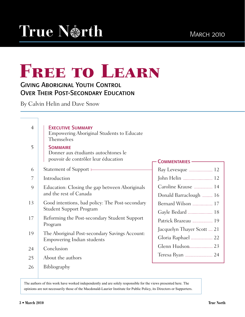# FREE TO LEARN

#### Giving Aboriginal Youth Control **OVER THEIR POST-SECONDARY EDUCATION**

By Calvin Helin and Dave Snow

| $\overline{4}$<br>5 | <b>EXECUTIVE SUMMARY</b><br><b>Empowering Aboriginal Students to Educate</b><br>Themselves<br><b>SOMMAIRE</b> |                            |
|---------------------|---------------------------------------------------------------------------------------------------------------|----------------------------|
|                     | Donner aux étudiants autochtones le<br>pouvoir de contrôler leur éducation                                    | <b>COMMENTARIES -</b>      |
| 6                   | Statement of Support $\longleftarrow$                                                                         |                            |
| 7                   | Introduction                                                                                                  |                            |
| 9                   | Education: Closing the gap between Aboriginals                                                                | Caroline Krause  14        |
|                     | and the rest of Canada                                                                                        | Donald Barraclough  16     |
| 13                  | Good intentions, bad policy: The Post-secondary                                                               | Bernard Wilson  17         |
|                     | <b>Student Support Program</b>                                                                                |                            |
| 17                  | Reforming the Post-secondary Student Support<br>Program                                                       | Patrick Brazeau  19        |
|                     |                                                                                                               | Jacquelyn Thayer Scott  21 |
| 19                  | The Aboriginal Post-secondary Savings Account:<br>Empowering Indian students                                  | Gloria Raphael  22         |
| 24                  | Conclusion                                                                                                    |                            |
| 25                  | About the authors                                                                                             |                            |
| 26                  | Bibliography                                                                                                  |                            |

The authors of this work have worked independently and are solely responsible for the views presented here. The opinions are not necessarily those of the Macdonald-Laurier Institute for Public Policy, its Directors or Supporters.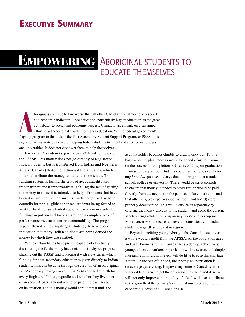# EMPOWERING ABORIGINAL STUDENTS TO educate themselves

**A**<br>**EXECUTE:** the proton of the American contributor to social and economic success, Canada must embark on a sustained<br>effort to get Aboriginal youth into higher education. Yet the federal government's<br>flagship program in boriginals continue to fare worse than all other Canadians on almost every social and economic indicator. Since education, particularly higher education, is the great contributor to social and economic success, Canada must embark on a sustained effort to get Aboriginal youth into higher education. Yet the federal government's signally failing in its objective of helping Indian students to enroll and succeed in colleges and universities. It does not empower them to help themselves.

 Each year, Canadian taxpayers pay \$314 million toward the PSSSP. This money does not go directly to Registered Indian students, but is transferred from Indian and Northern Affairs Canada (INAC) to individual Indian bands, which in turn distribute the money to students themselves. This funding system is failing the tests of accountability and transparency; most importantly it is failing the test of getting the money to those it is intended to help. Problems that have been documented include surplus funds being used by band councils for non-eligible expenses; students being forced to wait for funding; substantial regional variation in student funding; nepotism and favouritism; and a complete lack of performance measurement or accountability. The program is patently not achieving its goal. Indeed, there is every indication that many Indian students are being denied the money to which they are entitled.

 While certain bands have proven capable of effectively distributing the funds, many have not. This is why we propose phasing out the PSSSP and replacing it with a system in which funding for post-secondary education is given directly to Indian students. This can be done through the creation of an Aboriginal Post-Secondary Savings Account (APSSA) opened at birth for every Registered Indian, regardless of whether they live on or off-reserve. A basic amount would be paid into each account on its creation, and this money would earn interest until the

account holder becomes eligible to draw money out. To this basic amount (plus interest) would be added a further payment on the successful completion of Grades 6-12. Upon graduation from secondary school, students could use the funds solely for any *bona fide* post-secondary education program, at a trade school, college or university. There would be strict controls to ensure that money intended to cover tuition would be paid directly from the account to the post-secondary institution and that other eligible expenses (such as room and board) were properly documented. This would ensure transparency by offering the money directly to the student, and avoid the current shortcomings related to transparency, waste and corruption. Moreover, it would ensure fairness and consistency for Indian students, regardless of band or region.

Beyond benefiting young Aboriginals, Canadian society as a whole would benefit from the APSSA. As the population ages and baby boomers retire, Canada faces a demographic crisis: young, educated workers in particular will be scarce, and simply increasing immigration levels will do little to ease this shortage. Yet unlike the rest of Canada, the Aboriginal population is on average quite young. Empowering some of Canada's most vulnerable citizens to get the education they need and deserve will not only improve their quality of life. It will also contribute to the growth of the country's skilled labour force and the future economic success of all Canadians. ●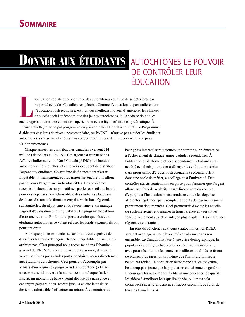# Donner aux étudiants

# autochtones le pouvoir de contrôler leur éducation

a situation sociale et économique des autochtones continue de se détériorer par<br>
rapport à celle des Canadiens en général. Comme l'éducation, et particulièreme<br>
l'éducation postsecondaire, est l'un des meilleurs moyens d'a a situation sociale et économique des autochtones continue de se détériorer par rapport à celle des Canadiens en général. Comme l'éducation, et particulièrement l'éducation postsecondaire, est l'un des meilleurs moyens d'améliorer les chances de succès social et économique des jeunes autochtones, le Canada se doit de les l'heure actuelle, le principal programme du gouvernement fédéral à ce sujet – le Programme d'aide aux étudiants de niveau postsecondaire, ou PAENP – n'arrive pas à aider les étudiants autochtones à s'inscrire et à réussir au collège et à l'université; il ne les encourage pas à s'aider eux-mêmes.

 Chaque année, les contribuables canadiens versent 314 millions de dollars au PAENP. Cet argent est transféré des Affaires indiennes et du Nord Canada (AINC) aux bandes autochtones individuelles, et celles-ci s'occupent de distribuer l'argent aux étudiants. Ce système de financement n'est ni imputable, ni transparent; et plus important encore, il n'alloue pas toujours l'argent aux individus ciblés. Les problèmes recensés incluent des surplus utilisés par les conseils de bande pour des dépenses non admissibles; des étudiants placés sur des listes d'attente de financement; des variations régionales substantielles; du népotisme et du favoritisme; et un manque flagrant d'évaluation et d'imputabilité. Le programme est loin d'être une réussite. En fait, tout porte à croire que plusieurs étudiants autochtones se voient refuser les fonds auxquels ils ont pourtant droit.

 Alors que plusieurs bandes se sont montrées capables de distribuer les fonds de façon efficace et équitable, plusieurs n'y arrivent pas. C'est pourquoi nous recommandons l'abandon graduel du PAENP et son remplacement par un système qui verrait les fonds pour études postsecondaires versés directement aux étudiants autochtones. Ceci pourrait s'accomplir par le biais d'un régime d'épargne-études autochtone (REEA); un compte serait ouvert à la naissance pour chaque Indien inscrit, un montant de base y serait déposé à la naissance et cet argent gagnerait des intérêts jusqu'à ce que le titulaire devienne admissible à effectuer un retrait. À ce montant de

base (plus intérêts) serait ajoutée une somme supplémentaire à l'achèvement de chaque année d'études secondaires. À l'obtention du diplôme d'études secondaires, l'étudiant aurait accès à ces fonds pour aider à défrayer les coûts admissibles d'un programme d'études postsecondaires reconnu, offert dans une école de métier, au collège ou à l'université. Des contrôles stricts seraient mis en place pour s'assurer que l'argent alloué aux frais de scolarité passe directement du compte d'épargne à l'institution postsecondaire et que les dépenses afférentes légitimes (par exemple, les coûts de logement) soient proprement documentées. Ceci permettrait d'éviter les écueils du système actuel et d'assurer la transparence en versant les fonds directement aux étudiants, en plus d'aplanir les différences régionales existantes.

En plus de bénéficier aux jeunes autochtones, les REEA seraient avantageux pour la société canadienne dans son ensemble. Le Canada fait face à une crise démographique: la population vieillit, les baby-boomers prennent leur retraite, avec pour résultat que les jeunes travailleurs qualifiés se feront de plus en plus rares, un problème que l'immigration seule ne pourra régler. La population autochtone est, en moyenne, beaucoup plus jeune que la population canadienne en général. Encourager les autochtones à obtenir une éducation de qualité les aidera à améliorer leur qualité de vie, oui, mais cela contribuera aussi grandement au succès économique futur de tous les Canadiens. ●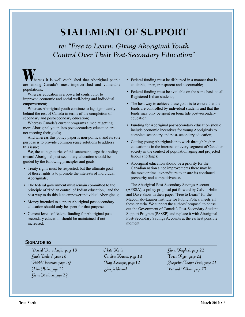# **STATEMENT OF SUPPORT**

#### *re: "Free to Learn: Giving Aboriginal Youth Control Over Their Post-Secondary Education"*

hereas it is well established that Aboriginal people are among Canada's most impoverished and vulnerable populations;

Whereas education is a powerful contributor to improved economic and social well-being and individual empowerment;

Whereas Aboriginal youth continue to lag significantly behind the rest of Canada in terms of the completion of secondary and post-secondary education;

Whereas Canada's current programs aimed at getting more Aboriginal youth into post-secondary education are not meeting their goals;

And whereas this policy paper is non-political and its sole purpose is to provide common sense solutions to address this issue;

We, the co-signatories of this statement, urge that policy toward Aboriginal post-secondary education should be guided by the following principles and goals:

- Treaty rights must be respected, but the ultimate goal of those rights is to promote the interests of individual Aboriginals;
- The federal government must remain committed to the principle of "Indian control of Indian education," and the best way to do this is to empower individual Aboriginals;
- Money intended to support Aboriginal post-secondary education should only be spent for that purpose;
- Current levels of federal funding for Aboriginal postsecondary education should be maintained if not increased;
- Federal funding must be disbursed in a manner that is equitable, open, transparent and accountable;
- Federal funding must be available on the same basis to all Registered Indian students;
- The best way to achieve these goals is to ensure that the funds are controlled by individual students and that the funds may only be spent on bona fide post-secondary education;
- Funding for Aboriginal post-secondary education should include economic incentives for young Aboriginals to complete secondary and post-secondary education;
- Getting young Aboriginals into work through higher education is in the interests of every segment of Canadian society in the context of population aging and projected labour shortages;
- Aboriginal education should be a priority for the Canadian nation since improvements there may be the most optimal expenditure to ensure its continued prosperity and competitiveness.

The Aboriginal Post-Secondary Savings Account (APSSA), a policy proposal put forward by Calvin Helin and Dave Snow in their paper "Free to Learn" for the Macdonald-Laurier Institute for Public Policy, meets all these criteria. We support the authors' proposal to phase out the Government of Canada's Post-Secondary Student Support Program (PSSSP) and replace it with Aboriginal Post-Secondary Savings Accounts at the earliest possible moment.

#### **SIGNATORIES**

Donald Barraclough, page 16 Gayle Be dard, page 18 Patrick Brazeau, page 19 John Helin, page 12 Gle nn Hudson, page 23

Anita Keith Caroline Krause, page 14 Ray Levesque, page 12 Joseph Quesnel

Gloria Raphael, page 22 Teresa Ryan, page 24 Jacquelyn Thayer Scott, page 21 Bernard Wilson, page 17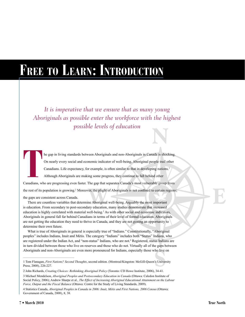# **Free to Learn: Introduction**

**N** *It is imperative that we ensure that as many young Aboriginals as possible enter the workforce with the highest possible levels of education* 

The gap in living standards between Aboriginals and non-Aboriginals in Canada is shocking.<br>
On nearly every social and economic indicator of well-being, Aboriginal people trail other<br>
Canadians. Life expectancy, for exampl he gap in living standards between Aboriginals and non-Aboriginals in Canada is shocking. On nearly every social and economic indicator of well-being, Aboriginal people trail other Canadians. Life expectancy, for example, is often similar to that in developing nations.1 Although Aboriginals are making some progress, they continue to fall behind other the rest of its population is growing.<sup>2</sup> Moreover, the plight of Aboriginals is not confined to certain regions;<br>
the gaps are consistent across Canada.<br>
There are countless variables that determine Aboriginal well-being.

the gaps are consistent across Canada.

There are countless variables that determine Aboriginal well-being. Arguably the most important is education. From secondary to post-secondary education, many studies demonstrate that increased education is highly correlated with material well-being.<sup>3</sup> As with other social and economic indicators, Aboriginals in general fall far behind Canadians in terms of their level of formal education. Aboriginals are not getting the education they need to thrive in Canada, and they are not getting an opportunity to determine their own future.

What is true of Aboriginals in general is especially true of "Indians." Constitutionally, "Aboriginal peoples" includes Indians, Inuit and Métis. The category "Indians" includes both "Status" Indians, who are registered under the Indian Act, and "non-status" Indians, who are not.4 Registered, status Indians are in turn divided between those who live on reserves and those who do not. Virtually all of the gaps between Aboriginals and non-Aboriginals are even more pronounced for Indians, especially those who live on

**E**

<sup>1</sup> Tom Flanagan, *First Nations? Second Thoughts*, second edition. (Montreal/Kingston: McGill-Queen's University Press, 2008), 226-227. ho live<br>S<sup>2</sup>s Univer

<sup>2</sup> John Richards, *Creating Choices: Rethinking Aboriginal Policy* (Toronto: CD Howe Institute, 2006), 34-41.

<sup>3</sup> Michael Mendelson, *Aboriginal Peoples and Postsecondary Education in Canada* (Ottawa: Caledon Institute of Social Policy, 2006); Andrew Sharpe et al., *The Effect of Increasing Aboriginal Educational Attainment on the Labour Force, Output and the Fiscal Balance* (Ottawa: Centre for the Study of Living Standards, 2009).

<sup>4</sup> Statistics Canada, *Aboriginal Peoples in Canada in 2006: Inuit, Métis and First Nations, 2006 Census* (Ottawa: Government of Canada, 2008), 8, 38.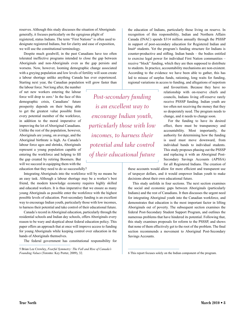reserves. Although this study discusses the situation of Aboriginals generally, it focuses particularly on the egregious plight of registered, status Indians. The term "First Nations" is often used to designate registered Indians, but for clarity and ease of exposition, we will use the constitutional terminology.

Despite much goodwill, in the past Canadians have too often tolerated ineffective programs intended to close the gap between Aboriginals and non-Aboriginals even as the gap persists and worsens. Now, however, looming demographic change associated with a greying population and low levels of fertility will soon create a labour shortage unlike anything Canada has ever experienced. Starting next year, the Canadian population will grow faster than

the labour force. Not long after, the number of net new workers entering the labour force will drop to zero. $5$  In the face of this demographic crisis, Canadians' future prosperity depends on their being able to get the greatest value possible from every potential member of the workforce, in addition to the moral imperative of improving the lot of Aboriginal Canadians. Unlike the rest of the population, however, Aboriginals are young, on average, and the Aboriginal birthrate is high. As Canada's labour force ages and shrinks, Aboriginals represent a young population capable of entering the workforce and helping to fill the gap created by retiring Boomers. But will we succeed in equipping them with the education that they need to do so successfully?

Integrating Aboriginals into the workforce will by no means be an easy task. Although a labour shortage may be a worker's best friend, the modern knowledge economy requires highly skilled and educated workers. It is thus imperative that we ensure as many young Aboriginals as possible enter the workforce with the highest possible levels of education. Post-secondary funding is an excellent way to encourage Indian youth, particularly those with low incomes, to harness their potential and take control of their educational future.

Canada's record in Aboriginal education, particularly through the residential schools and Indian day schools, offers Aboriginals every reason to be wary and skeptical about federal education policy. This paper offers an approach that at once will improve access to funding for young Aboriginals while keeping control over education in the hands of Aboriginals themselves.

The federal government has constitutional responsibility for

the education of Indians, particularly those living on reserve. In recognition of this responsibility, Indian and Northern Affairs Canada (INAC) spends \$314 million annually through the PSSSP in support of post-secondary education for Registered Indian and Inuit<sup>6</sup> students. Yet the program's funding structure for Indians is counter-productive and stifling. Indian bands – the bodies entitled to exercise legal power for individual First Nation communities – receive "block" funding, which they are then supposed to distribute to students. In practice, accountability mechanisms are non-existent. According to the evidence we have been able to gather, this has led to misuse of surplus funds, rationing, long waits for funding, regional variations in access to funding, and allegations of nepotism

*Post-secondary funding is an excellent way to encourage Indian youth, particularly those with low incomes, to harness their potential and take control of their educational future*

and favouritism. Because they have no relationship with on-reserve chiefs and councils, Indians living off-reserve rarely receive PSSSP funding. Indian youth are too often not receiving the money that they so desperately need. The program needs to change, and it needs to change soon.

For the funding to have its desired effect, there must be transparency and accountability. Most importantly, the authority for determining how the funding is used must move downward, from individual bands to individual students. This study proposes phasing out the PSSSP and replacing it with an Aboriginal Post-Secondary Savings Accounts (APSSA) for all Registered Indians. The creation of

these accounts would allow for more efficient and transparent use of taxpayer dollars, and it would empower Indian youth to make decisions about their own educational future.

This study unfolds in four sections. The next section examines the social and economic gaps between Aboriginals (particularly Indians) and the rest of Canadians. It then discusses the urgent need for integrating Aboriginal youth into the Canadian workforce, and demonstrates that education is the most important factor in lifting Aboriginals out of poverty. The subsequent section examines the federal Post-Secondary Student Support Program, and outlines the numerous problems that have hindered its potential. Following that, this study examines proposals for reform to the PSSSP, and shows that none of them effectively get to the root of the problem. The final section recommends a movement to Aboriginal Post-Secondary Savings Accounts.

<sup>5</sup> Brian Lee Crowley, *Fearful Symmetry: The Fall and Rise of Canada's Founding Values* (Toronto: Key Porter, 2009), 32.

<sup>6</sup> This report focuses solely on the Indian component of the program.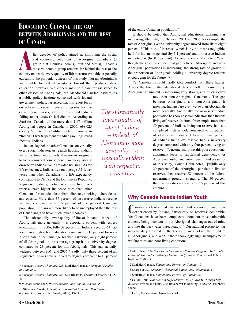9 Michael Mendelson, *Postsecondary Education in Canada*, 35.

*The substantially lower quality of life of Indians – indeed, of Aboriginals more generally – is especially evident with respect to education*

#### **Education: Closing the gap between Aboriginals and the rest of Canada**

fter decades of policy aimed at improving the social<br>and economic conditions of Aboriginal Canadians (a<br>group that includes Indians, Inuit and Métis), Canada's<br>most vulnerable group remains far behind the rest of the<br>count fter decades of policy aimed at improving the social and economic conditions of Aboriginal Canadians (a group that includes Indians, Inuit and Métis), Canada's most vulnerable group remains far behind the rest of the education, the particular concern of this study. Not all Aboriginals are eligible for federal assistance toward their post-secondary education, however. While there may be a case for assistance to other classes of Aboriginals, the Macdonald-Laurier Institute, as

a public policy institute concerned with federal government policy, has asked that this report focus on reforming current federal programs for the current beneficiaries, who are Registered Indians falling under Ottawa's jurisdiction. According to Statistics Canada, of the more than 1.17 million Aboriginal people in Canada in 2006, 698,025 (nearly 60 percent) identified as North American "Indian." Over 80 percent of Indians are Registered "Status" Indians.

Indians lag behind other Canadians on virtually every social indicator. As regards housing, Indians were five times more likely than non-Aboriginals to live in crowded homes: more than one-quarter of on-reserve Indians live in crowded housing.7 As for life expectancy, Indians live on average 5.1 fewer years than other Canadians – a life expectancy comparable to China and the Dominican Republic. Registered Indians, particularly those living onreserve, have higher incidence rates than other

Canadians for suicide, alcoholism, diabetes, smoking, tuberculosis, and obesity. More than 36 percent of on-reserve Indians receive welfare, compared with 5.5 percent of the general Canadian population.8 Indians are more likely to be unemployed than the rest of Canadians, and have much lower incomes.<sup>9</sup>

The substantially lower quality of life of Indians – indeed, of Aboriginals more generally – is especially evident with respect to education. In 2006, fully 38 percent of Indians aged 25-64 had less than a high school education, compared to 15 percent for non-Aboriginals in the same age bracket. Likewise, only eight percent of all Aboriginals in the same age group had a university degree, compared to 23 percent for non-Aboriginals. This gap actually widened between 2001 and 2006.<sup>10</sup> Sadly, only three percent of all

of the entire Canadian population.<sup>11</sup>

It should be noted that Aboriginal educational attainment is increasing, albeit slightly. Between 2001 and 2006, for example, the rate of Aboriginals with a university degree moved from six to eight percent.12 This rate of increase, which is by no means negligible, held for Indians in general (by 1.1 percent) and on-reserve Indians in particular (by 0.7 percent). As one recent study noted, "even though the absolute educational gap between Aboriginal and non-Aboriginal populations is increasing, the strong rate of growth in the proportion of Aboriginals holding a university degree remains encouraging for the future."13

Yet Canadians should hardly take comfort from these figures. Across the board, the educational data all tell the same story: Aboriginal attainment is increasing very slowly, at a much slower

rate than non-Aboriginal Canadians. The gap between Aboriginals and non-Aboriginals is growing. Indians fare even worse than Aboriginals more generally. And finally, the on-reserve Indian population has poorer social indicators than Indians living off-reserve. In 2006, for example, more than 50 percent of Indians living on-reserve had not completed high school, compared to 30 percent of off-reserve Indians. Likewise, nine percent of Indians living off reserve had a university degree, compared with only four percent living on reserve.14 To no one's surprise, this poor educational attainment leads to substantial dependency. As Aboriginal author and entrepreneur (and co-author of this study) Calvin Helin notes, "[w]hile only 29 percent of the Aboriginal population live on reserves, they receive 88 percent of the federal government program spending. The 50 percent that live in cities receive only 3.5 percent of this amount."<sup>15</sup>

#### Why Canada Needs Indian Youth

Canadians clearly find the social and economic conditions experienced by Indians, particularly on reserves, deplorable. Yet Canadians have been complacent about our most vulnerable citizens, being "content to put Aboriginal challenges out-of-mind and into the backwater bureaucracy."16 Our national prosperity has unfortunately afforded us the luxury of overlooking the plight of all Aboriginals, and with it their shockingly high unemployment, welfare rates, and poor living conditions.

<sup>7</sup> Flanagan, *Second Thoughts*, 225; Statistics Canada, *Aboriginal Peoples in Canada*, 8.

<sup>8</sup> Flanagan, *Second Thoughts*, 226-227; Richards, *Creating Choices*, 34-35, 41.

<sup>10</sup> Statistics Canada, *Educational Portrait of Canada, 2006 Census* (Ottawa: Government of Canada, 2008), 19-24.

<sup>11</sup> Alex Usher, *The Post-Secondary Student Support Program: An Examination of Alternative Delivery Mechanisms* (Toronto: Educational Policy Institute, 2009), 5.

<sup>12</sup> Statistics Canada, *Educational Portrait of Canada*, 19.

<sup>13</sup> Sharpe et al., *Increasing Aboriginal Educational Attainment*, 17.

<sup>14</sup> Statistics Canada, *Educational Portrait of Canada*, 22.

<sup>15</sup> Calvin Helin, *Dances with Dependency: Out of Poverty Through Self-Reliance* (Woodland Hills, CA: Ravencrest Publishing, 2008), 55. Emphasis added.

<sup>16</sup> Helin, *Dances with Dependency*, 44.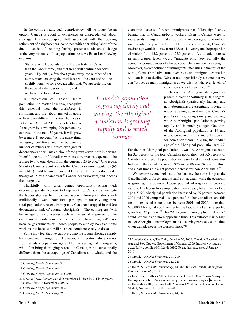In the coming years, such complacency will no longer be an option. Canada is about to experience an unprecedented labour shortage. The demographic shift associated with the looming retirement of baby boomers, combined with a shrinking labour force due to decades of declining fertility, presents a substantial change in the very structure of our population base. As Brian Lee Crowley explains:

Starting in 2011, population will grow faster in Canada than the labour force, and that trend will continue for forty years… By 2016, a few short years away, the number of net new workers entering the workforce will be zero and will be slightly negative for a decade after that. We are teetering on

the edge of a demographic cliff, and we have one foot out in the air.<sup>17</sup>

All projections of Canada's future population, no matter how rosy, recognize this essential fact: the workforce is shrinking, and the labour market is going to look very different in a few short years. Between 1956 and 2056, Canada's labour force grew by a whopping 200 percent; by contrast, in the next 50 years, it will grow by a mere  $11$  percent.<sup>18</sup> At the same time, an aging workforce and the burgeoning number of retirees will create even greater

dependency and will make labour force growth even more important. In 2030, the ratio of Canadian workers to retirees is expected to be a mere two to one, down from the current 3.25 to one.19 One recent Statistics Canada report predicts that Canada's senior population (65 and older) could be more than double the number of children under the age of 15 by the same year.<sup>20</sup> Canada needs workers, and it needs them urgently.

Thankfully, with crisis comes opportunity. Along with encouraging older workers to keep working, Canada can mitigate the labour shortage by employing workers from populations with traditionally lower labour force participation rates: young men, rural populations, recent immigrants, Canadians trapped in welfare dependency, and, of course, Aboriginals.21 The coming era "will be an age of inclusiveness such as the social engineers of the employment equity movement could never have imagined"<sup>22</sup> not because governments will force people to employ non-traditional workers, but because it will be an economic necessity to do so.

Some may feel that we can overcome the labour shortage simply by increasing immigration. However, immigration alone cannot stop Canada's population aging. The average age of immigrants, who often bring their aging parents to Canada, is not substantially different from the average age of Canadians as a whole, and the

20 Krystle Chow, Seniors Could Outnumber Children by 2-1 in 25 years, *Vancouver Sun*, 16 December 2005, A3.

*Canada's population is growing slowly and greying; the Aboriginal population is growing rapidly and is much younger*

economic success of recent immigrants has fallen significantly behind that of Canadian-born workers. Even if Canada were to increase its immigrant intake fourfold – an average of one million immigrants per year for the next fifty years – by 2056, Canada's median age would still rise from 38.8 to 44.1 years, and the proportion of seniors from 13.2 percent to 22.3 percent.23 A dramatic increase in immigration levels would "mitigate only very partially the economic consequences of a broad social phenomenon like aging."24 Moreover, as competition for immigrants intensifies in the rest of the world, Canada's relative attractiveness as an immigrant destination will continue to decline. We can no longer blithely assume that we can "attract as many immigrants as we wish at whatever levels of

education and skills we need."25

By contrast, Aboriginal demographics present a clear opportunity in this regard, as Aboriginals (particularly Indians) and non-Aboriginals are essentially moving in opposite demographic directions: Canada's population is growing slowly and greying, while the Aboriginal population is growing rapidly and is much younger. One-third of the Aboriginal population is 14 and under, compared with a mere 19 percent for non-Aboriginals. In 2006, the median age of the Aboriginal population was 27.

For the non-Aboriginal population, it was 40. Aboriginals account for 3.3 percent of the total Canadian population, but 5.6 percent of Canadian children. The population increase for status and non-status Indians in the decade between 1996 and 2006 was 26 percent, three and a half times the eight percent increase for non-Aboriginals.26

Whatever way one looks at it, the data say the same thing: as the Canadian labour force remains stable or stagnant while the economy is growing, the potential labour pool of Aboriginals is growing rapidly. The labour force implications are already here. The working age (15-64) Aboriginal population increased by 25 percent between 2001 and 2006 compared to six percent for other Canadians, and this trend is expected to continue; between 2001 and 2026, more than 600,000 Aboriginal youth will enter the labour market, an expected growth of 37 percent.<sup>27</sup> This "Aboriginal demographic tidal wave" could not come at a more opportune time. This extraordinarily high rate of Aboriginal unemployment "is occurring precisely at the time when Canada needs the workers most."28

<sup>17</sup> Crowley, *Fearful Symmetry*, 32.

<sup>18</sup> Crowley, *Fearful Symmetry*, 24.

<sup>19</sup> Crowley, *Fearful Symmetry*, 255-256.

<sup>21</sup> Crowley, *Fearful Symmetry*, 260.

<sup>22</sup> Crowley, *Fearful Symmetry*, 261.

<sup>23</sup> Statistics Canada, The Daily, October 26, 2006: Canada's Population by Age and Sex, Ottawa: Government of Canada, 2006, http://www.statcan. gc.ca/daily-quotidien/061026/dq061026b-eng.htm (accessed 5 January 2010).

<sup>24</sup> Crowley, *Fearful Symmetry*, 218-219.

<sup>25</sup> Crowley, *Fearful Symmetry*, 222-223.

<sup>26</sup> Helin, *Dances with Dependency*, 44, 48; Statistics Canada, *Aboriginal Peoples in Canada*, 8, 14.

<sup>27</sup> Indian and Northern Affairs Canada, Fact Sheet: 2006 Census Aboriginal Demographics, <http://www.ainc-inac.gc.ca/ai/mr/is/cad-eng.asp> (accessed 29 December 2009); Jeremy Hull, Aboriginal Youth in the Canadian Labour Market, *Horizons* 10.1 (2008): 40-44.

<sup>28</sup> Helin, *Dances with Dependency*, 44, 56.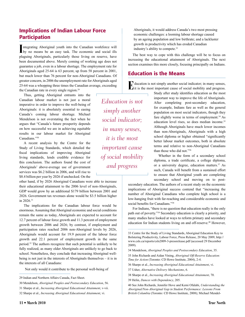#### Implications of Indian Labour Force Participation

Integrating Aboriginal youth into the Canadian workforce will by no means be an easy task. The economic and social ills ntegrating Aboriginal youth into the Canadian workforce will plaguing Aboriginals, particularly those living on reserve, have been documented above. Merely coming of working age does not guarantee a job, even in a labour shortage. The employment rate for Aboriginals aged 25-64 is 63 percent, up from 58 percent in 2001, but much lower than 76 percent for non-Aboriginal Canadians. Of greater concern, in 2006 the unemployment rate for Aboriginals aged 25-64 was a whopping three times the Canadian average, exceeding the Canadian rate in every single region.<sup>29</sup>

Thus, getting Aboriginal entrants into the Canadian labour market is not just a moral imperative in order to improve the well-being of Aboriginals: it is absolutely essential to easing Canada's coming labour shortage. Michael Mendelson is not overstating the fact when he argues that "Canada's future prosperity depends on how successful we are in achieving equitable results in our labour market for Aboriginal Canadians."30

A recent analysis by the Centre for the Study of Living Standards, which detailed the fiscal implications of improving Aboriginal living standards, lends credible evidence for this conclusion. The authors found the cost of Aboriginals' above-average use of government services was \$6.2 billion in 2006, and will rise to \$8.4 billion per year by 2026 if unchecked. On the

other hand, if by 2026 Aboriginal Canadians were able to increase their educational attainment to the 2006 level of non-Aboriginals, GDP would grow by an additional \$179 billion between 2001 and 2026. Government tax revenues alone would be \$3.5 billion higher in 2026.31

The implications for the Canadian labour force would be enormous. Assuming that Aboriginal economic and social conditions remain the same as today, Aboriginals are expected to account for 12.7 percent of labour force growth and 11.3 percent of employment growth between 2006 and 2026; by contrast, if employment and participation rates reached 2006 non-Aboriginal levels by 2026, Aboriginals would account for 19.9 percent of the labour force growth and 22.1 percent of employment growth in the same period.32 The authors recognize that such potential is unlikely to be fully realized, as many older Aboriginals are unlikely to go back to school. Nonetheless, they conclude that increasing Aboriginal wellbeing is not just in the interests of Aboriginals themselves – it is in the interests of all Canadians:

Not only would it contribute to the personal well-being of

30 Mendelson, *Aboriginal Peoples and Postsecondary Education*, 56.

**11 • March 2010 True North**

*Education is not simply another social indicator; in many senses, it is the most important cause of social mobility and progress*

Aboriginals, it would address Canada's two most pressing economic challenges: a looming labour shortage caused by an ageing population and low birthrate; and a lackluster growth in productivity which has eroded Canadian industry's ability to compete.33

The best way to cope with this challenge will be to focus on increasing the educational attainment of Aboriginals. The next section examines this more closely, focusing principally on Indians.

#### Education is the Means

 $\Gamma$  ducation is not simply another social indicator; in many senses, it is the most important cause of social mobility and progress.

Study after study identifies education as the most important way to improve the life of Aboriginals. After completing post-secondary education, for example, Indians fare as well as the general population on most social indicators, though they fare slightly worse in terms of employment.<sup>34</sup> As education level rises, so does median income.<sup>35</sup> Although Aboriginals have much lower incomes than non-Aboriginals, Aboriginals with a high school diploma or higher obtained "significantly better labour market outcomes, both in absolute terms and relative to non-Aboriginal Canadians than those who did not."36

Whether in the form of a secondary school diploma, a trade certificate, a college diploma, or a university degree, education matters.<sup>37</sup> As such, Canada will benefit from a sustained effort to ensure that Aboriginal youth are completing secondary school and moving on to post-

secondary education. The authors of a recent study on the economic implications of Aboriginal success contend that "increasing the number of Aboriginal Canadians who complete high school is a low-hanging fruit with far-reaching and considerable economic and social benefits for Canadians."38

For Indians, "there is no question that education really is the only path out of poverty."39 Secondary education is clearly a priority, and many studies have looked at ways to reform primary and secondary education for Indian students living on and off-reserve.<sup>40</sup> However,

35 John Richards and Aidan Vining, *Aboriginal Off-Reserve Education: Time for Action* (Toronto: CD Howe Institute, 2004), 2-4.

36 Sharpe et al., *Increasing Aboriginal Educational Attainment*, vi.

37 Usher, *Alternative Delivery Mechanisms*, 6.

38 Sharpe et al., *Increasing Aboriginal Educational Attainment*, 70.

39 Helin, *Dances with Dependency*, 205.

<sup>29</sup> Indian and Northern Affairs Canada, Fact Sheet.

<sup>31</sup> Sharpe et al., *Increasing Aboriginal Educational Attainment*, v-vii.

<sup>32</sup> Sharpe et al., *Increasing Aboriginal Educational Attainment*, vi.

<sup>33</sup> Centre for the Study of Living Standards, Aboriginal Education Key to Bolstering Productivity, Labour Force, Press Release, 20 May 2009, http:// www.csls.ca/reports/csls2009-3-pressrelease.pdf (accessed 29 December 2009).

<sup>34</sup> Mendelson, *Aboriginal Peoples and Postsecondary Education*, 35.

<sup>40</sup> See John Richards, Jennifer Hove and Kemi Ofalabi, *Understanding the Aboriginal/Non-Aboriginal Gap in Student Performance: Lessons From British Columbia* (Toronto: CD Howe Institute, 2008); Michael Mendel-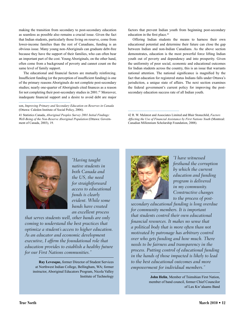making the transition from secondary to post-secondary education as seamless as possible also remains a crucial issue. Given the fact that Indian students, particularly those living on reserve, come from lower-income families than the rest of Canadians, funding is an obvious issue. Many young non-Aboriginals can graduate debt-free because they have the support of their families, who can often bear an important part of the cost. Young Aboriginals, on the other hand, often come from a background of poverty and cannot count on the same level of family support.

The educational and financial factors are mutually reinforcing. Insufficient funding (or the perception of insufficient funding) is one of the primary reasons Aboriginals do not complete post-secondary studies; nearly one-quarter of Aboriginals cited finances as a reason for not completing their post-secondary studies in 2001.<sup>41</sup> Moreover, inadequate financial support and a desire to avoid debt are major factors that prevent Indian youth from beginning post-secondary education in the first place.<sup>42</sup>

Offering Indian students the means to harness their own educational potential and determine their future can close the gap between Indian and non-Indian Canadians. As the above section demonstrates, education is the most powerful force lifting Indian youth out of poverty and dependency and into prosperity. Given the uniformity of poor social, economic and educational outcomes for Indian students across the country, this is an issue that warrants national attention. The national significance is magnified by the fact that education for registered status Indians falls under Ottawa's jurisdiction, a unique state of affairs. The next section examines the federal government's current policy for improving the postsecondary education success rate of all Indian youth.

42 R. W. Malatest and Associates Limited and Blair Stonechild, *Factors Affecting the Use of Financial Assistance by First Nations Youth* (Montreal: Canadian Millennium Scholarship Foundation, 2008).



*"Having taught native students in both Canada and the US, the need for straightforward access to educational funds is clearly evident. While some bands have created an excellent process* 

*that serves students well, other bands are only coming to understand the best practices that optimize a student's access to higher education. As an educator and economic development executive, I affirm the foundational role that education provides to establish a healthy future for our First Nations communities."*

**Ray Levesque,** former Director of Student Services at Northwest Indian College, Bellingham, WA; former instructor, Aboriginal Educators Program, Nicola Valley Institute of Technology



*"I have witnessed firsthand the corruption by which the current education and funding program is delivered in my community. Constructive changes to the process of post-*

*secondary educational funding is long overdue for community members. It is important that students control their own educational financial resources. It makes no sense that a political body that is more often than not motivated by patronage has arbitrary control over who gets funding and how much. There needs to be fairness and transparency in the process. Putting control of educational funding in the hands of those impacted is likely to lead to the best educational outcomes and more empowerment for individual members."*

> **John Helin**, Member of Tsimshian First Nation, member of band council, former Chief Councilor of Lax Kw'alaams Band

son, *Improving Primary and Secondary Education on Reserves in Canada* (Ottawa: Caledon Institute of Social Policy, 2006).

<sup>41</sup> Statistics Canada, *Aboriginal Peoples Survey 2001 Initial Findings: Well-Being of the Non-Reserve Aboriginal Population* (Ottawa: Government of Canada, 2003), 19.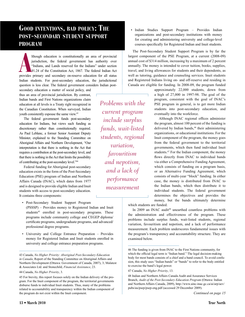#### **Good intentions, bad policy: The post-secondary student support program**

Ithough education is constitutionally an area of provincial jurisdiction, the federal government has authority over "Indians, and Lands reserved for the Indians" under section 91.24 of the Constitution Act, 1867. The feder lthough education is constitutionally an area of provincial jurisdiction, the federal government has authority over "Indians, and Lands reserved for the Indians" under section 91.24 of the Constitution Act, 1867. The federal Indian Act Indian students. For post-secondary education, the jurisdictional question is less clear. The federal government considers Indian post-

secondary education a matter of social policy, and thus an area of provincial jurisdiction. By contrast, Indian bands and First Nations organizations claim education at all levels is a Treaty right recognized in the Canadian Constitution. When surveyed, Indian youth consistently espouse the same view.43

The federal government funds post-secondary education for Indians, but views such funding as discretionary rather than constitutionally required. As Paul Leblanc, a former Senior Assistant Deputy Minister, explained to the Standing Committee on Aboriginal Affairs and Northern Development, "Our interpretation is that there is nothing in the Act that requires a contribution at the post-secondary level, and that there is nothing in the Act that limits the possibility of contributing at the post-secondary level."44

Federal funding for Aboriginal post-secondary education exists in the form of the Post-Secondary Education (PSE) program of Indian and Northern Affairs Canada (INAC), which dates from 1977 and is designed to provide eligible Indian and Inuit students with access to post-secondary education. It contains three components:

- Post-Secondary Student Support Program (PSSSP) – Provides money to Registered Indian and Inuit students<sup>45</sup> enrolled in post-secondary programs. These programs include community college and CEGEP diploma/ certificate programs, undergraduate programs, and advanced/ professional degree programs.
- University and College Entrance Preparation Provides money for Registered Indian and Inuit students enrolled in university and college entrance preparation programs.

*Problems with the current program include surplus funds, wait-listed students, regional variation, favouritism and nepotism, and a lack of performance measurement*

• Indian Studies Support Program – Provides Indian organizations and post-secondary institutions with money for creating and administering university and college-level courses specifically for Registered Indian and Inuit students.

The Post-Secondary Student Support Program is by far the largest component of the PSE Program, at a current (2008-09) annual cost of \$314 million, increasing by a maximum of 2 percent annually. The money is intended to cover tuition, books, supplies, travel, and living allowances for students and their dependents, as well as tutoring, guidance and counseling services. Inuit students and Registered Indians living on- and off-reserve and residing in Canada are eligible for funding. In 2008-09, the program funded

approximately 22,000 students, down from a high of 27,000 in 1997-98. The goal of the program, consistent with the goal of INAC's PSE program in general, is to get more Indian students into post-secondary education, and eventually into the workforce.

Although INAC regional offices administer the program, almost 100 percent of the funding is delivered by Indian bands,<sup>46</sup> their administering organizations, or educational institutions. For the Inuit component of the program, the money goes from the federal government to the territorial governments, which then fund individual Inuit students.47 For the Indian component, the money flows directly from INAC to individual bands via either a Comprehensive Funding Agreement, which consists of funding on a program basis, or an Alternative Funding Agreement, which consists of multi-year "block" funding. In either case, the money is distributed from INAC to the Indian bands, which then distribute it to individual students. The federal government determines the objectives and provides the money, but the bands ultimately determine

which students are funded.

In 2009 an INAC audit<sup>48</sup> unearthed countless problems with the administration and effectiveness of the program. These problems include surplus funds, wait-listed students, regional variation, favouritism and nepotism, and a lack of performance measurement. Each problem underscores fundamental issues with the program's transparency and accountability structure. They are examined below.

<sup>43</sup> Canada, *No Higher Priority: Aboriginal Post-Secondary Education in Canada*, Report of the Standing Committee on Aboriginal Affairs and Northern Development (Ottawa: Government of Canada, 2007), 3; Malatest & Associates Ltd. and Stonechild, *Financial Assistance*, 23.

<sup>44</sup> Canada, *No Higher Priority*, 3.

<sup>45</sup> For brevity, this report focuses solely on the Indian delivery of the program. For the Inuit component of the program, the territorial governments disburse funds to individual Inuit students. Thus, many of the problems related to accountability and transparency within the Indian component of the program do not exist within the Inuit component.

<sup>46</sup> The funding is given from INAC to the First Nations community, for which the official legal term is "Indian band." The legal decision-making body for most bands consists of a chief and a band council. To avoid confusion, this study uses "Indian bands" or "bands" to refer to the body entitled to exercise the band's legal power.

<sup>47</sup> Canada, *No Higher Priority*, 13.

<sup>48</sup> Indian and Northern Affairs Canada Audit and Assurance Services Branch, *Audit of the Post-Secondary Education Program* (Ottawa: Indian and Northern Affairs Canada, 2009), http://www.ainc-inac.gc.ca/ai/arp/aev/ pubs/au/psep/psep-eng.pdf (accessed 29 December 2009).

*Continued on page 15*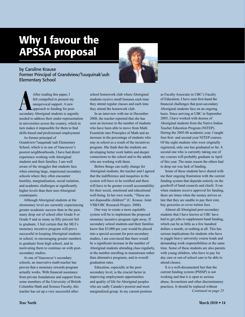# Why I favour the APSSA proposal

by Caroline Krause Former Principal of Grandview/?uuquinak'uuh Elementary School



After reading this paper, I<br>felt compelled to present my<br>unequivocal support. A new<br>secondary Aboriginal students is urgently After reading this paper, I felt compelled to present my unequivocal support. A new approach to funding for postneeded to address their under-representation in universities across the country, which in turn makes it impossible for them to find skills-based and professional employment.

As former principal of Grandview/?uuquinak'uuh Elementary School, which is in one of Vancouver's poorest neighbourhoods, I have had direct experience working with Aboriginal students and their families. I am well aware of the struggles that students face when entering large, impersonal secondary schools where they often encounter hostility, marginalisation, social isolation, and academic challenges at significantly higher levels than their non-Aboriginal counterparts.

Although Aboriginal students at the elementary level are currently experiencing greater academic success than in the past, many drop out of school after Grade 8 or Grade 9 and as many as fifty percent fail to graduate. I feel certain that the MLI's monetary incentive program will prove successful in keeping Aboriginal students in school, in encouraging greater numbers to graduate from high school, and in motivating them to continue on with postsecondary studies.

At one of Vancouver's secondary schools, an innovative math teacher has proven that a monetary rewards program actually works. With financial assistance from private foundations and support from some members of the University of British Columbia Math and Science Faculty, this teacher has set up a very successful afterschool homework club where Aboriginal students receive small bonuses each time they attend regular classes and each time they attend the homework club.

In an interview with me in December 2008, the teacher reported that she has seen an increase in the number of students who have been able to move from Math Essentials into Principles of Math and an increase in the percentage of students who stay in school as a result of the incentives program. She finds that the students are developing better work habits and deeper connections to the school and to the adults who are working with them.

Before things can really change for Aboriginal students, the teacher and I agreed that the indifference and inequities in the system will have to be rectified and there will have to be greater overall accountability for their social, emotional and educational well-being. In her own words, "These are not disposable children!" (C. Krause. Joint VSB/UBC Research Project. 2008).

One way to create a more equitable system will be to implement the proposed monetary incentive program right away. If secondary school students and their families knew that \$3,000 per year would be placed into a special account for post-secondary studies, I am convinced that there would be a significant increase in the number of Aboriginal students attending class regularly, in the number enrolling in mainstream rather than alternative programs, and in overall graduation rates.

Education, especially at the postsecondary level, is the crucial factor in improving employment opportunities and quality of life for Aboriginal peoples who are sadly Canada's poorest and most marginalized group. In my current position as Faculty Associate in UBC's Faculty of Education, I have seen first-hand the financial challenges that post-secondary Aboriginal students face on an ongoing basis. Since arriving at UBC in September 2005, I have worked with dozens of Aboriginal students from the Native Indian Teacher Education Program (NITEP). During the 2005-06 academic year, I taught four first- and second-year NITEP courses. Of the eight students who were originally registered, only one has graduated so far. A second one who is currently taking one of my courses will probably graduate in April of this year. The main reason the others had to drop out was lack of funding.

Some of these students have shared with me their ongoing frustration with the current funding system that depends entirely on the goodwill of band councils and chiefs. Even when students receive approval for funding, there are times when the money arrives so late that they are unable to pay their rent, buy groceries or cover tuition fees.

Almost all Aboriginal post-secondary students that I have known at UBC have had to get jobs to supplement band funding, which can be as little as a few hundred dollars a month, or nothing at all. This has serious implications for students who have to juggle heavy university course loads and demanding work responsibilities at the same time. Some of these students are also parents with young children, who have to pay for day care or out-of-school care to be able to attend classes.

It is a well-documented fact that the current funding system (PSSSP) is not working and that it is open to serious abuse, favouritism and other discriminatory practices. It should be replaced without *Continued on page 25*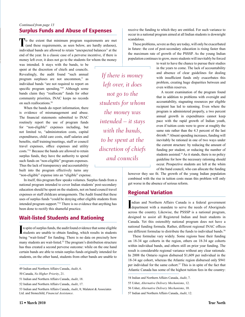#### Surplus Funds and Abuse of Expenses *Continued from page 13*

To the extent that minimum program requirements are met (and these requirements, as seen below, are hardly arduous), individual bands are allowed to retain "unexpected balances" at the end of the year. In a classic case of a perverse incentive, if there is money left over, it does not go to the students for whom the money

was intended. It stays with the bands, to be spent at the discretion of chiefs and councils. Revealingly, the audit found "such annual program surpluses are not uncommon," as individual bands "are not required to report on specific program spending."<sup>49</sup> Although some bands claim they "reallocate" funds for other community priorities, INAC keeps no records on such reallocations.<sup>50</sup>

When the bands do report information, there is evidence of mismanagement and abuse. The financial statements submitted to INAC routinely report the use of program funds for "non-eligible" expenses including, but not limited to, "administration costs, capital expenditures, child care costs, staff salaries and benefits, staff training/meetings, staff or council travel expenses, office expenses and utility costs."51 Because the bands are allowed to retain surplus funds, they have the authority to spend such funds on "non-eligible" program expenses. Thus the lack of transparency and accountability built into the program effectively turns any "non-eligible" expense into an "eligible" expense.

In itself, this program flaw speaks volumes. Surplus funds from a national program intended to cover Indian students' post-secondary education should be spent on the students, not on band council travel expenses or staff childcare arrangements. The Audit found that these uses of surplus funds "could be denying other eligible students from intended program support."52 There is no evidence that anything has been done to rectify this shameful practice.

#### Wait-listed Students and Rationing

**I** n spite of surplus funds, the audit found evidence that some eligible students are unable to obtain funding, which results in students students are unable to obtain funding, which results in students being "wait-listed" for funding. There is no data on precisely how many students are wait-listed.<sup>53</sup> The program's distribution structure has thus created a second perverse outcome: while on the one hand certain bands are able to retain surplus funds originally intended for students, on the other hand, students from other bands are unable to

53 Indian and Northern Affairs Canada, *Audit*, 8; Malatest & Associates Ltd. and Stonechild, *Financial Assistance*.

*If there is money left over, it does not go to the students for whom the money was intended – it stays with the bands, to be spent at the discretion of chiefs and councils*

receive the funding to which they are entitled. For such variance to occur in a national program aimed at all Indian students is downright scandalous.

These problems, severe as they are today, will only be exacerbated in future: the cost of post-secondary education is rising faster than the maximum rate of growth of the PSSSP. As the young Indian population continues to grow, more students will inevitably be forced

to wait to have the chance to pursue their studies in the years to come. The lack of accountability and absence of clear guidelines for dealing with insufficient funds only exacerbates this problem, creating huge disparities between and even within reserves.

A recent examination of the program found that in addition to problems with oversight and accountability, stagnating resources per eligible recipient has led to rationing. Even where the program is administered properly, a two percent annual growth in expenditures cannot keep pace with the rapid growth of Indian youth, even if tuition costs were to grow at roughly the same rate rather than the 4.3 percent of the last decade.54 Absent spending increases, funding will inevitably be rationed in one of two ways under the current structure: by reducing the amount of funding per student, or reducing the number of students assisted.<sup>55</sup> As it stands, there is no policy guideline for how the necessary rationing should occur. Prospective students are left at the whim of the band council, who can allocate the funding

however they see fit. The growth of the young Indian population combined with the rise in tuition costs mean this problem will only get worse in the absence of serious reform.

#### Regional Variation

Indian and Northern Affairs Canada is a federal government<br>department with a mandate to serve the needs of Aboriginals ndian and Northern Affairs Canada is a federal government across the country. Likewise, the PSSSP is a national program, designed to assist all Registered Indian and Inuit students in Canada. Yet this ostensibly national program does not have a national funding formula. Rather, different regional INAC offices use different formulae to distribute the funds to individual bands.<sup>56</sup>

These formulae vary widely. Some regions base their funding on 18-34 age cohorts in the region, others on 18-34 age cohorts within individual bands, and others still on prior year funding. The result is considerable regional variance without any clear rationale. In 2008 the Ontario region disbursed \$1,609 per individual in the 18-34 age cohort, whereas the Atlantic region disbursed only \$941 per individual for the same cohort.<sup>57</sup> This is in spite of the fact that Atlantic Canada has some of the highest tuition fees in the country:

<sup>49</sup> Indian and Northern Affairs Canada, *Audit*, 6.

<sup>50</sup> Canada, *No Higher Priority*, 21.

<sup>51</sup> Indian and Northern Affairs Canada, *Audit*, 18.

<sup>52</sup> Indian and Northern Affairs Canada, *Audit*, 17.

<sup>54</sup> Indian and Northern Affairs Canada, *Audit*, 7.

<sup>55</sup> Usher, *Alternative Delivery Mechanisms*, 12.

<sup>56</sup> Usher, *Alternative Delivery Mechanisms*, 10.

<sup>57</sup> Indian and Northern Affairs Canada, *Audit*, 12.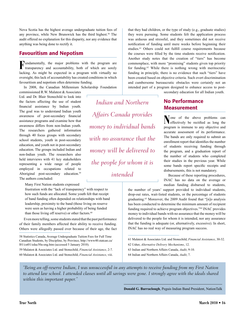Nova Scotia has the highest average undergraduate tuition fees of any province, while New Brunswick has the third highest.<sup>58</sup> The audit offered no explanation for this disparity, nor any evidence that anything was being done to rectify it.

#### Favouritism and Nepotism

**F**undamentally, the major problems with the program are transparency and accountability, both of which are sorely lacking. As might be expected in a program with virtually no oversight, this lack of accountability has created conditions in which favouritism and nepotism often determine funding.

In 2008, the Canadian Millennium Scholarship Foundation

commissioned R.W. Malatest & Associates Ltd. and Dr. Blair Stonechild to look into the factors affecting the use of student financial assistance by Indian youth. The goal was to understand Indian youth awareness of post-secondary financial assistance programs and examine how that awareness differs from non-Indian youth. The researchers gathered information through 40 focus groups with secondary school students, youth in post-secondary education, and youth not in post-secondary education. The groups included Indian and non-Indian youth. The researchers also held interviews with 41 key stakeholders representing a wide range of people employed in occupations related to Aboriginal post-secondary education.<sup>59</sup> The authors concluded:

Many First Nation students expressed

frustration with the "lack of transparency" with respect to how such funds are allocated. Some youth felt that receipt of band funding often depended on relationships with band leadership, proximity to the band (those living on reserve were seen as having a higher probability of being funded than those living off reserve) or other factors.<sup>60</sup>

Even more telling, some students stated that the past performance of their family members affected their ability to receive funding. Others were allegedly passed over because of their age, the fact

58 Statistics Canada, Average Undergraduate Tuition Fees for Full Time Canadian Students, by Discipline, by Province, http://www40.statcan.ca/ l01/cst01/educ50a-eng.htm (accessed 5 January 2010).

59 Malatest & Associates Ltd. and Stonechild, *Financial Assistance*, 2-7. 60 Malatest & Associates Ltd. and Stonechild, *Financial Assistance*, viii.

*Indian and Northern Affairs Canada provides money to individual bands with no assurance that the money will be delivered to the people for whom it is intended*

that they had children, or the type of study (e.g., graduate studies) they were pursuing. Some students felt the application process was arduous and stressful, and they sometimes did not receive notification of funding until mere weeks before beginning their studies.<sup>61</sup> Others could not fulfill course requirements because the courses were filled by the time students receive notification. Another study notes that the creation of "tiers" has become commonplace, with more "promising" students given top priority for funding.62 While there is nothing wrong with meritocratic funding in principle, there is no evidence that such "tiers" have been created based on objective criteria. Such overt discrimination and cumbersome bureaucratic obstacles were certainly not an intended part of a program designed to enhance access to post-

secondary education for all Indian youth.

#### No Performance **Measurement**

N one of the above problems can effectively be rectified as long the program is immune to any objective and accurate assessment of its performance. The bands are only required to submit an enrollment report that identifies the number of students receiving funding through the program, and a graduation report of the number of students who completed their studies in the previous year. While some bands report specific receipts and disbursements, this is not mandatory.

Because of these reporting procedures, INAC has no data on the average or median funding disbursed to students,

the number of years' support provided to individual students, drop-out rates, wait-listed students, or the percentage of students graduating.63 Moreover, the 2009 Audit found that "[n]o analysis has been conducted to determine the minimum amount of recipient funding required to achieve program objectives."<sup>64</sup> INAC provides money to individual bands with no assurance that the money will be delivered to the people for whom it is intended, nor any assurance that the funding is adequate (or, alternatively, excessive). In short, INAC has no real way of measuring program success.

61 Malatest & Associates Ltd. and Stonechild, *Financial Assistance*, 30-32. 62 Usher, *Alternative Delivery Mechanisms*, 12. 63 Indian and Northern Affairs Canada, *Audit*, 9-10. 64 Indian and Northern Affairs Canada, *Audit*, 7.

*"Being an off-reserve Indian, I was unsuccessful in any attempts to receive funding from my First Nation*  to attend law school. I attended classes until all savings were gone. I strongly agree with the ideals shared *within this important paper."*

**Donald G. Barraclough**, Peguis Indian Band President, NationTalk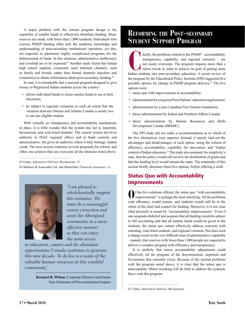A major problem with the current program design is the capability of smaller bands to effectively distribute funding. Many reserves are small, with fewer than 1,000 residents. Individuals who oversee PSSSP funding often lack the academic knowledge and understanding of post-secondary institutional operation, yet they are expected to administer highly complicated programs for the disbursement of funds. In this situation, administrative inefficiency and overload are to be expected.<sup>65</sup> Another study found that Indian high school students commonly used informal channels, such as family and friends, rather than formal channels (teachers and counselors) to obtain information about post-secondary funding.<sup>66</sup>

In sum, it is remarkable that a national program designed to give money to Registered Indian students across the country:

- allows individual bands to retain surplus funds to use at their discretion;
- be subject to regional variations to such an extent that the variation between Ontario and Atlantic Canada is nearly two to one per eligible student.

With virtually no transparency and accountability mechanisms in place, it is little wonder that the system has led to nepotism, favouritism, and wait-listed students. The current system devolves authority to INAC regional offices and to band councils and administrators, but gives no authority where it truly belongs: Indian youth. The next section examines several proposals for reform, and offers one solution that can overcome all the obstacles listed above.

65 Usher, *Alternative Delivery Mechanisms*, 11. 66 Malatest & Associates Ltd. and Stonechild, *Financial Assistance*, vi.



*"I am pleased to wholeheartedly support this initiative. We must do a meaningful course correction and assist the Aboriginal community in a more effective manner so they can enjoy the same access* 

*to education, careers and the abundant opportunities Canada continues to generate this new decade. To do less is a waste of the valuable human resources in this youthful community."* 

> **Bernard R. Wilson**, Corporate Director and former Vice Chairman of PricewaterhouseCoopers

### **Reforming the Post-secondary Student Support Program**

learly, the problems related to the PSSSP – accountability, transparency, capability, and regional variation – are not easily overcome. The program requires more than a minor tweak in order to achieve its goal of getting m transparency, capability, and regional variation – are not easily overcome. The program requires more than a minor tweak in order to achieve its goal of getting more the program by the Educational Policy Institute (EPI) suggested five possible options for change in PSSSP program delivery.67 The five options were:

- status quo with improvements in accountability;
- administration by a regional First Nations' education organization;
- administration by a pan-Canadian First Nations foundation;
- direct administration by Indian and Northern Affairs Canada;
- direct administration by Human Resources and Skills Development Canada (HRSDC).

The EPI study did not make a recommendation as to which of the five alternatives were superior. Instead, it merely laid out the advantages and disadvantages of each option, using the criteria of efficiency, accountability, capability for innovation, and "Indian control of Indian education." The study also assumed, for simplicity's sake, that the policy would still involve the distribution of grants and that the funding level would remain the same. The remainder of this section briefly discusses these five options, before offering a sixth.

#### Status Quo with Accountability **Improvements**

**O**f the five solutions offered, the status quo "with accountability improvements" is perhaps the least satisfying. All the problems with efficiency would remain, and students would still be at the whim of the chief and council for funding. Moreover, it is not clear what precisely is meant by "accountability improvements." Even if one suspends disbelief and assumes that all funding would be subject to full accounting and that all surplus funds would be given to the students, the status quo cannot effectively address concerns with rationing, wait-listed students, and regional variation. Nor does such a change touch on the very difficult issue of administrative capability – namely, that reserves with fewer than 1,000 people are expected to deliver a complex program with efficiency and transparency.

It is unlikely that minor accountability adjustments could effectively rid the program of the discrimination, nepotism and favouritism that currently exists. Because of the myriad problems with the program noted above, it is clear that the status quo is unacceptable. Minor tweaking will do little to address the systemic flaws with this program.

67 Usher, *Alternative Delivery Mechanisms*.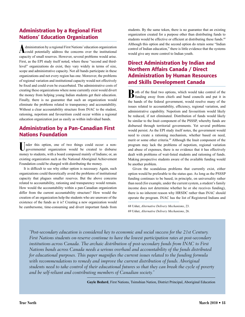#### Administration by a Regional First Nations' Education Organization

Administration by a regional First Nations' education organization<br>could potentially address the concerns over the institutional capacity of small reserves. However, several problems would arise. First, as the EPI study itself noted, where these "second and thirdlevel" organizations do exist, they vary widely in terms of size, scope and administrative capacity. Not all bands participate in these organizations and not every region has one. Moreover, the problems of regional variation and institutional capacity would not effectively be fixed and could even be exacerbated. The administrative costs of creating these organizations where none currently exist would divert the money from helping young Indian students get their education. Finally, there is no guarantee that such an organization would eliminate the problems related to transparency and accountability. Without a clear accountability structure from INAC to the student, rationing, nepotism and favouritism could occur within a regional education organization just as easily as within individual bands.

#### Administration by a Pan-Canadian First Nations Foundation

Inder this option, one of two things could occur: a nongovernmental organization would be created to disburse money to students, with a board composed mainly of Indians; or, an existing organization such as the National Aboriginal Achievement Foundation could be charged with distributing the money.

It is difficult to see why either option is necessary. Again, such organizations could theoretically avoid the problems of institutional capacity that plagues smaller reserves. But the above concerns related to accountability, rationing and transparency would remain. How would the accountability within a pan-Canadian organization differ from the current accountability structure? How would the creation of an organization help the students who are unaware of the existence of the funds as it is? Creating a new organization would be cumbersome, time-consuming and divert important funds from students. By the same token, there is no guarantee that an existing organization created for a purpose other than distributing funds to students would be effective or efficient at distributing these funds.<sup>68</sup> Although this option and the second option do retain some "Indian control of Indian education," there is little evidence that the systems would give any more control to Indian youth.

#### Direct Administration by Indian and Northern Affairs Canada / Direct Administration by Human Resources and Skills Development Canada

Both of the final two options, which would take control of the funding away from chiefs and band councils and put it in the hands of the federal government, would resolve many of the issues related to accountability, efficiency, regional variation, and administrative capability. Nepotism and favouritism would likely be reduced, if not eliminated. Distribution of funds would likely be similar to the Inuit component of the PSSSP, whereby funds are disbursed through territorial governments. Yet several problems would persist. As the EPI study itself notes, the government would need to create a rationing mechanism, whether based on need, merit or some other criteria.<sup>69</sup> Although the Inuit component of the program may lack the problems of nepotism, regional variation and abuse of expenses, there is no evidence that it has effectively dealt with problems of wait-listed students and rationing of funds. Making prospective students aware of the available funding would be another problem.

Given the scandalous problems that currently exist, either option would be preferable to the status quo. As long as the PSSSP funding continues to be based, in principle, on universality rather than need (for example, under the current system, a student's family income does not determine whether he or she receives funding), there is no inherent reason why HRSDC rather than INAC should operate the program. INAC has the list of Registered Indians and

68 Usher, *Alternative Delivery Mechanisms*, 23. 69 Usher, *Alternative Delivery Mechanisms*, 26.

*"Post-secondary education is considered key to economic and social success for the 21st Century. First Nations students on-reserve continue to have the lowest participation rates at post-secondary institutions across Canada. The archaic distribution of post-secondary funds from INAC to First Nations bands across Canada needs a serious overhaul and accountability of the funds distributed for educational purposes. This paper magnifies the current issues related to the funding formula*  with recommendations to remedy and improve the current distribution of funds. Aboriginal *students need to take control of their educational futures so that they can break the cycle of poverty and be self-reliant and contributing members of Canadian society."*

**Gayle Bedard**, First Nations, Tsimshian Nation, District Principal, Aboriginal Education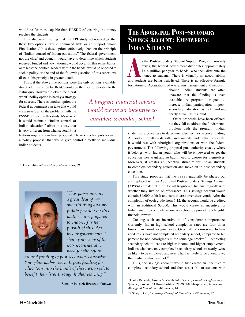would be far more capable than HRSDC of ensuring the money reaches the students.

It is also worth noting that the EPI study acknowledges that these two options "would command little or no support among First Nations,"70 as these options effectively abandon the principle of "Indian control of Indian education." The federal government, not the chief and council, would have to determine which students received funded and how rationing would occur. In this sense, bands, or at least the political leaders within the bands, would be opposed to such a policy. At the end of the following section of this report, we discuss this principle in greater detail.

Thus, if the above five options were the only options available, direct administration by INAC would be the most preferable to the

status quo. However, picking the "least worst" policy option is hardly a strategy for success. There is another option the federal government can take that would erase nearly all of the problems with the PSSSP outlined in this study. Moreover, it would maintain "Indian control of Indian education," albeit in a way that is very different from what several First

Nations organizations have proposed. The next section puts forward a policy proposal that would give control directly to individual Indian students.

70 Usher, *Alternative Delivery Mechanisms*, 29.



*"This paper mirrors a great deal of my own thinking and my public position on this matter. I am prepared to endorse further pursuit of this idea by our government. I share your view of the not-inconsiderable need for the reform* 

*around funding of post-secondary education. Your plan makes sense. It puts funding for education into the hands of those who seek to benefit their lives through higher learning."*

Senator **Patrick Brazeau**, Ottawa

#### **The Aboriginal Post-secondary Savings Account: Empowering Indian Students**

s the Post-Secondary Student Support Program currently exists, the federal government distributes approximately \$314 million per year to bands, who then distribute the money to students. There is virtually no accountabilit s the Post-Secondary Student Support Program currently exists, the federal government distributes approximately \$314 million per year to bands, who then distribute the money to students. There is virtually no accountability for rationing. Accusations of waste, mismanagement and nepotism

*A tangible financial reward would create an incentive to complete secondary school*

abound. Indian students are often unaware that the funding is even available. A program designed to increase Indian participation in postsecondary education is not working nearly as well as it should.

Other proposals have been offered, but they fail to address the fundamental problem with the program: Indian

students are powerless to determine whether they receive funding. Authority currently rests with band councils; under other proposals, it would rest with Aboriginal organizations or with the federal government. The following proposal puts authority exactly where it belongs: with Indian youth, who will be empowered to get the education they want and so badly need to choose for themselves. Moreover, it creates an incentive structure for Indian students to complete secondary education and move on to post-secondary education.

This study proposes that the PSSSP gradually be phased out and replaced with an Aboriginal Post-Secondary Savings Account (APSSA) created at birth for all Registered Indians, regardless of whether they live on or off-reserve. This savings account would contain \$4,000 at birth and earn interest over their youth. After the completion of each grade from 6-12, the account would be credited with an additional \$3,000. This would create an incentive for Indian youth to complete secondary school by providing a tangible financial reward.

Creating such an incentive is of considerable importance. Currently, Indian high school completion rates are four times lower than non-Aboriginal rates. Over half of on-reserve Indians aged 25-34 have not completed secondary school, compared to ten percent for non-Aboriginals in the same age bracket.<sup>71</sup> Completing secondary school leads to higher income and higher employment; Indians who have only completed secondary school are nearly twice as likely to be employed and nearly half as likely to be unemployed than Indians who have not.<sup>72</sup>

Thus, the savings account would first create an incentive to complete secondary school and then assist Indian students with

<sup>71</sup> John Richards, *Dropouts: The Achilles' Heel of Canada's High-School System* (Toronto: CD Howe Institute, 2009), 7-8; Sharpe et al., *Increasing Aboriginal Educational Attainment*, 14.

<sup>72</sup> Sharpe et al., *Increasing Aboriginal Educational Attainment*, 22.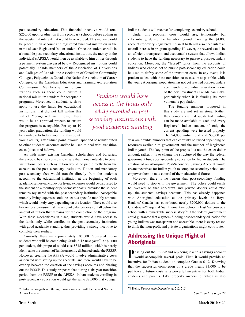post-secondary education. This financial incentive would total \$25,000 upon graduation from secondary school, before adding in the substantial interest that would have accrued. This money would be placed in an account at a registered financial institution in the name of each Registered Indian student. Once the student enrolls in a bona fide post-secondary educational institution, the money in the individual's APSSA would then be available to him or her through a payment system discussed below. Recognized institutions could potentially include members of the Association of Universities and Colleges of Canada, the Association of Canadian Community Colleges, Polytechnics Canada, the National Association of Career Colleges, or the Canadian Education and Training Accreditation

> *Students would have access to the funds only while enrolled in postsecondary institutions with good academic standing*

Commission. Membership in organizations such as these could ensure a national minimum standard for acceptable programs. Moreover, if students wish to apply to use the funds for educational institutions that did not fall within this list of "recognized institutions," there would be an approval process to ensure the program is acceptable. For up to 10 years after graduation, the funding would be available to Indian youth (at this point,

young adults), after which point it would lapse and be redistributed to other students' accounts and/or be used to deal with transition costs (discussed below).

As with many existing Canadian scholarships and bursaries, there would be strict controls to ensure that money intended to cover institutional costs such as tuition would be paid directly from the account to the post-secondary institution. Tuition and mandatory post-secondary fees would transfer directly from the student's account to the educational institution at the beginning of each academic semester. Money for living expenses would be disbursed to the student on a monthly or per-semester basis, provided the student remains registered with the post-secondary institution. Acceptable monthly living expenses could be set at a specific monthly amount, which would likely vary depending on the location. There could also be controls to ensure that the account balance does not fall below the amount of tuition that remains for the completion of the program. With these mechanisms in place, students would have access to the funds only while enrolled in the post-secondary institution with good academic standing, thus providing a strong incentive to complete their studies.

Currently, there are approximately 105,000 Registered Indian students who will be completing Grade 6-12 next year.73 At \$3,000 per student, this proposal would cost \$315 million, which is nearly identical to the amount of funds currently disbursed under the PSSSP. However, creating the APPSA would involve administrative costs associated with setting up the accounts, and there would have to be overlap between the creation of the savings accounts and phasing out the PSSSP. This study proposes that during a six-year transition period from the PSSSP to the APSSA, Indian students enrolling in post-secondary education would get the same \$25,000 that younger

Indian students will receive for completing secondary school.

Under this proposal, costs would rise, temporarily but substantially, during the transition period. Creating the \$4,000 accounts for every Registered Indian at birth will also necessitate an overall increase in program spending. However, the reward would be an efficient, transparent and accountable system that allows Indian students to have the funding necessary to pursue a post-secondary education. Moreover, the "lapsed" funds from the accounts of Indians who choose not to pursue post-secondary education could be used to defray some of the transition costs. In any event, it is prudent to deal with these transition costs as soon as possible, while the young Aboriginal population has not yet reached post-secondary

> age. Funding individual education is one of the best investments Canada can make, particularly when it is funding its most vulnerable population.

The funding numbers proposed in this study are not set in stone. Rather, they demonstrate that substantial funding can be made available to each and every Registered Indian student, if only the current spending were invested properly. The \$4,000 initial fund and \$3,000 per

year are flexible numbers that can certainly be raised depending on resources available to government and the number of Registered Indian youth. The key point of the proposal is not the exact dollar amount; rather, it is to change the structure of the way the federal government funds post-secondary education for Indian students. The creation of an Aboriginal Post-Secondary Savings Account would create incentives for Indian youth to complete secondary school and empower them to take control of their educational future.

Moreover, there is no reason that post-secondary funding would need to stop with the government. The policy could easily be tweaked so that non-profit and private donors could "top up" the students' savings accounts. This has already happened with Aboriginal education at the primary level: the Royal Bank of Canada has contributed nearly \$200,000 dollars to the Grandview/?Uuquinak'uuh Elementary School in East Vancouver, a school with a remarkable success story.<sup>74</sup> If the federal government could guarantee that a system funding post-secondary education for young Indians was transparent and accessible, there is every reason to think that non-profit and private organizations might contribute.

#### Addressing the Unique Plight of **Aboriginals**

**P**hasing out the PSSSP and replacing it with a savings account would accomplish several goals. First, it would provide an incentive for Indian students to complete Grades 6-12. Knowing that the successful completion of a grade means \$3,000 to be put toward future costs is a powerful incentive for both Indian students and parents. Like property ownership, which is also

<sup>73</sup> Information gathered through correspondence with Indian and Northern Affairs Canada.

<sup>74</sup> Helin, *Dances with Dependency*, 212-215.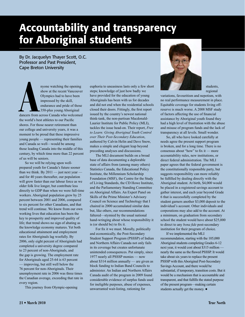# Accountability and transparency for Aboriginal students

By Dr. Jacquelyn Thayer Scott, O.C. Professor and Past President, Cape Breton University

 $\sum_{\substack{\text{dancers from }\\ \text{the world's be}}}$ nyone watching the opening show at the recent Vancouver Olympics had to have been impressed by the skill, endurance and pride of those 350-plus young Aboriginal dancers from across Canada who welcomed the world's best athletes to our Pacific shores. For those nearer retirement than our college and university years, it was a moment to be proud that these impressive young people — representing their families and Canada so well—would be among those leading Canada into the middle of this century, by which time more than 22 percent of us will be seniors.

So we will be relying upon wellprepared youth for Canada's future sooner than we think. By  $2011$  — just next year and for 40 years thereafter, our population will grow faster than our labour force as we older folk live longer, but contribute less directly to GDP than when we were full-time workers. Aboriginal population grew by 25 percent between 2001 and 2006, compared to six percent for other Canadians, and that trend will continue. We know from our own working lives that education has been the key to prosperity and improved quality of life; that trend shows no sign of abating as the knowledge economy matures. Yet both educational attainment and employment rates for Aboriginals lag woefully. By 2006, only eight percent of Aboriginals had completed a university degree compared to 23 percent of non-Aboriginals, and the gap is growing. The employment rate for Aboriginals aged 25-64 is 63 percent improving, but still well below the 76 percent for non-Aboriginals. Their unemployment rate in 2006 was three times the Canadian average, exceeding that rate in every region.

This journey from Olympic-opening

euphoria to uneasiness lasts only a few short steps; knowledge of just how badly we have provided for the education of young Aboriginals has been with us for decades and did not end when the residential schools closed their doors. Fittingly, the first report issued by the country's newest national think-tank, the non-partisan Macdonald-Laurier Institute for Public Policy (MLI), tackles the issue head-on. Their report, *Free to Learn: Giving Aboriginal Youth Control over Their Post-Secondary Education*, authored by Calvin Helin and Dave Snow, makes a simple and elegant leap beyond preceding analyses and discussions.

The MLI document builds on a broad base of data documenting a deplorable state of affairs from (among many others) Statistics Canada, the Educational Policy Institute, the Millennium Scholarship Foundation (MSF), the Centre for the Study of Living Standards, the CD Howe Institute, and the Parliamentary Standing Committee on Aboriginal Affairs. An Expert Panel on Skills of the Prime Minister's Advisory Council on Science and Technology that I chaired in 2000 accumulated similar data but, like others, our recommendations faltered—stymied by the usual national hand-wringing about whose responsibility it is (or should be) to fix it.

For fix it we must. Morally, politically and economically, the Post-Secondary Student Support Program (PSSSP) of Indian and Northern Affairs Canada not only fails in its coverage but creates unfortunate unintended consequences. Put simply, since 1977 nearly all PSSSP monies — now about \$314 million annually — are given as block funding to Indian Band Councils to administer. An Indian and Northern Affairs Canada audit of the program in 2009 found considerable evidence of surplus funds used for ineligible purposes, abuse of expenses, unwarranted wait-listing, rationing for



students, regional

variations, favouritism and nepotism, with no real performance measurement in place. Equitable coverage for students living offreserve is much worse. A 2008 MSF study of factors affecting the use of financial assistance by Aboriginal youth found they had a high level of frustration with the abuse and misuse of program funds and the lack of transparency at all levels. Small wonder.

So, all who have looked carefully at needs agree the present support program is broken, and for a long time. There is no consensus about "how" to fix it — more accountability rules, new institutions, or direct federal administration. The MLI paper agrees that the federal government is the constitutionally responsible party, but suggests responsibility can more reliably be fulfilled by dealing directly with the Aboriginal student. At birth, \$4,000 would be placed in a registered savings account to gather interest, and each year beyond Grade 6 that is successfully completed by the student garners another \$3,000 deposit to the individual's account. Other individuals and corporations may also add to the account. At a minimum, on graduation from secondary school the student would have about \$25,000 to direct to any *bona fide* post-secondary institution for their program of choice.

If we implemented the MLI recommendation, starting with the 105,000 Aboriginal students completing Grades 6-12 next year, it would cost about \$315 million nearly the same as the flawed PSSSP. It would take about six years to replace the present PSSSP with this Aboriginal Post-Secondary Savings Account, and there would be substantial, if temporary, transition costs. But it would be a mechanism that is accountable and transparent, and that fulfills the stated purpose of the present program—making certain students actually get the money. ●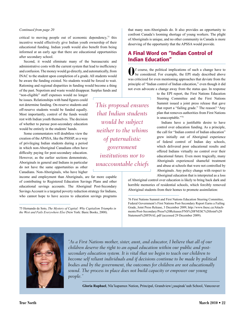#### *Continued from page 20*

critical to moving people out of economic dependency, $75$  this incentive would effectively give Indian youth ownership of their educational funding. Indian youth would also benefit from being informed at an early age that there are educational opportunities after secondary school.

Second, it would eliminate many of the bureaucratic and administrative costs with the current system that lead to inefficiency and confusion. The money would go directly, and automatically, from INAC to the student upon completion of a grade. All students would be aware the funding existed. No students would be forced to wait. Rationing and regional disparities in funding would become a thing of the past. Nepotism and waste would disappear. Surplus funds and

"non-eligible" staff expenses would no longer be issues. Relationships with band figures could not determine funding. On-reserve students and off-reserve students would be funded equally. Most importantly, control of the funds would rest with Indian youth themselves. The decision of whether to pursue post-secondary education would be entirely in the students' hands.

Some commentators will doubtless view the creation of the APSSA, like the PSSSP, as a way of privileging Indian students during a period in which non-Aboriginal Canadians often have difficulty paying for post-secondary education. However, as the earlier sections demonstrate, Aboriginals in general and Indians in particular do not have the same opportunities as other Canadians. Non-Aboriginals, who have higher

income and employment than Aboriginals, are far more capable of contributing to Registered Education Savings Plans and other educational savings accounts. The Aboriginal Post-Secondary Savings Account is a targeted poverty reduction strategy for Indians, who cannot hope to have access to education savings programs

75 Hernando de Soto, *The Mystery of Capital: Why Capitalism Triumphs in the West and Fails Everywhere Else* (New York: Basic Books, 2000).

*This proposal ensures that Indian students would be subject neither to the whims of paternalistic government institutions nor to unaccountable chiefs*

that many non-Aboriginals do. It also provides an opportunity to confront Canada's looming shortage of young workers. The plight of Aboriginals is unique, and no other community in Canada is more deserving of the opportunity that the APSSA would provide.

#### A Final Word on "Indian Control of Indian Education"

**O**f course, the political implications of such a change have to be considered. For example, the EPI study described above was criticized for even mentioning approaches that deviate from the principle of "Indian control of Indian education," even though it did not even advocate a change away from the status quo. In response

to the EPI report, the First Nations Education Steering Committee and the First Nations Summit issued a joint press release that gave that report a "failing grade." The reason? "Any plan that removes authorities from First Nations is unacceptable."76

Indians have a justifiable desire to have control over education funding. As a principle, the call for "Indian control of Indian education" grew initially out of Aboriginal experience of federal control of Indian day schools, which delivered poor educational results and offered Indians virtually no control over their educational future. Even more tragically, many Aboriginals experienced shameful treatment and abuse at schools that were not controlled by Aboriginals. Any policy change with respect to Aboriginal education that is interpreted as a loss

of Aboriginal control over education is likely to bring back dark and horrible memories of residential schools, which forcibly removed Aboriginal students from their homes to promote assimilation:



*"As a First Nations mother, sister, aunt, and educator, I believe that all of our children deserve the right to an equal education within our public and postsecondary education system. It is vital that we begin to teach our children to*  become self reliant individuals and if decisions continue to be made by political *bodies and by the government, the outcomes for children are not educationally sound. The process in place does not build capacity or empower our young people."*

**Gloria Raphael**, Nla'kapamux Nation, Principal, Grandview/¿uuqinak'uuh School, Vancouver

<sup>76</sup> First Nations Summit and First Nations Education Steering Committee, Federal Government's First Nations Post-Secondary Report Earns a Failing Grade, Joint Press Release, 3 December 2009, http://www.fnesc.ca/Attachments/Post-Secondary/Press%20Releases/FNS%20FNESC%20Joint%20 Statement%20FINAL.pdf (accessed 29 December 2009).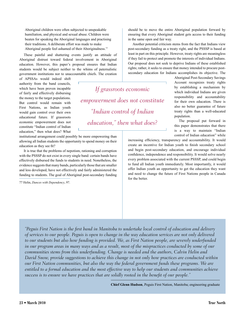Aboriginal children were often subjected to unspeakable humiliation, and physical and sexual abuse. Children were beaten for speaking the Aboriginal languages and practising their traditions. A deliberate effort was made to make Aboriginal people feel ashamed of their Aboriginalness.<sup>77</sup>

These painful and shattering events justify an attitude of Aboriginal distrust toward federal involvement in Aboriginal education. However, this paper's proposal ensures that Indian students would be subject neither to the whims of paternalistic government institutions nor to unaccountable chiefs. The creation

of APSSAs would indeed shift authority from the band councils, which have been proven incapable of fairly and effectively disbursing the money to the target populations. But control would remain with First Nations, as Indian youth would gain control over their own educational future. If grassroots economic empowerment does not constitute "Indian control of Indian education," then what does? What

institutional arrangement could possibly be more empowering than allowing all Indian students the opportunity to spend money on their education as they see fit?

It is true that the problems of nepotism, rationing and corruption with the PSSSP do not exist in every single band: certain bands have effectively disbursed the funds to students in need. Nonetheless, the evidence suggests that many bands, particularly those that are smaller and less developed, have not effectively and fairly administered the funding to students. The goal of Aboriginal post-secondary funding

77 Helin, *Dances with Dependency*, 97.

should be to move the entire Aboriginal population forward by ensuring that every Aboriginal student gets access to their funding in the same open and fair way.

Another potential criticism stems from the fact that Indians view post-secondary funding as a treaty right, and the PSSSP is based at least in part on this principle. However, treaty rights are meaningless if they fail to protect and promote the interests of individual Indians. Our proposal does not seek to deprive Indians of these established rights; rather, it seeks to ensure that money intended to procure postsecondary education for Indians accomplishes its objective. The

> Aboriginal Post-Secondary Savings Account recognizes treaty rights by establishing a mechanism by which individual Indians are given responsibility and accountability for their own education. There is also no better guarantee of future treaty rights than a well-educated population.

The proposal put forward in this paper demonstrates that there is a way to maintain "Indian control of Indian education" while

increasing efficiency, transparency and accountability. It would create an incentive for Indian youth to finish secondary school and begin post-secondary education, and encourage individual confidence, independence and responsibility. It would solve nearly every problem associated with the current PSSSP, and could begin to fund all Indian youth immediately. Most importantly, it would offer Indian youth an opportunity to get the education they want and need to change the future of First Nations people in Canada for the better.

*"Peguis First Nation is the first band in Manitoba to undertake local control of education and delivery of services to our people. Peguis is open to change in the way education services are not only delivered to our students but also how funding is provided. We, as First Nation people, are severely underfunded in our program areas in many ways and as a result, most of the mispractices conducted by some of our communities stems from this underfunding. Change is needed and the authors, Calvin Helin and David Snow, provide suggestions to achieve this change in not only how practices are conducted within our First Nation communities, but also the way the federal government funds these programs. We are entitled to a formal education and the most effective way to help our students and communities achieve success is to ensure we have practices that are solidly rooted in the benefit of our people."*

*If grassroots economic* 

*empowerment does not constitute* 

*"Indian control of Indian* 

*education," then what does?*

**Chief Glenn Hudson**, Peguis First Nation, Manitoba; engineering graduate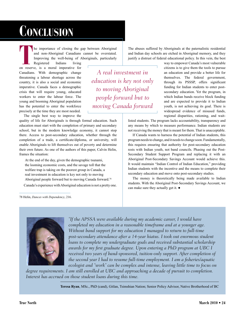# **Conclusion**

he importance of closing the gap between Aboriginal<br>and non-Aboriginal Canadians cannot be overstated.<br>Improving the well-being of Aboriginals, particularly<br>Registered Indians living and non-Aboriginal Canadians cannot be overstated. Improving the well-being of Aboriginals, particularly

Registered on reserve, is a moral imperative for Canadians. With demographic change threatening a labour shortage across the country, it is also a social and economic imperative. Canada faces a demographic crisis that will require young, educated workers to enter the labour force. The young and booming Aboriginal population has the potential to enter the workforce precisely at the time they are most needed. The single best way to improve the

quality of life for Aboriginals is through formal education. Such education must start with the completion of primary and secondary school, but in the modern knowledge economy, it cannot stop there. Access to post-secondary education, whether through the completion of a trade, a certificate/diploma, or university, will enable Aboriginals to lift themselves out of poverty and determine their own future. As one of the authors of this paper, Calvin Helin, frames the situation:

At the end of the day, given the demographic tsunami, the looming economic costs, and the savage toll that the welfare trap is taking on the poorest group in Canada, a real investment in education is key not only to moving Aboriginal people forward but to moving Canada forward.78

Canada's experience with Aboriginal education is not a pretty one.

78 Helin, *Dances with Dependency*, 216.

*education is key not only to moving Aboriginal people forward but to moving Canada forward*

The abuses suffered by Aboriginals at the paternalistic residential and Indian day schools are etched in Aboriginal memory, and they justify a distrust of federal educational policy. In this vein, the best

*A real investment in* 

way to empower Canada's most vulnerable citizens is to give them the tools to pursue an education and provide a better life for themselves. The federal government, through its PSSSP, offers significant funding for Indian students to enter postsecondary education. Yet the program, in which Indian bands receive block funding and are expected to provide it to Indian youth, is not achieving its goal. There is widespread evidence of misused funds, regional disparities, rationing, and wait-

listed students. The program lacks accountability, transparency and any means by which to measure performance. Indian students are not receiving the money that is meant for them. That is unacceptable.

If Canada wants to harness the potential of Indian students, this program needs to change, and it needs to change soon. Fundamentally, this requires ensuring that authority for post-secondary education rests with Indian youth, not band councils. Phasing out the Post-Secondary Student Support Program and replacing it with an Aboriginal Post-Secondary Savings Account would achieve this. It would maintain "Indian Control of Indian Education," providing Indian students with the incentive and the means to complete their secondary education and move onto post-secondary studies.

The money is theoretically being made available to Indian students. With the Aboriginal Post-Secondary Savings Account, we can make sure they actually get it. ●



*"If the APSSA were available during my academic career, I would have completed my education in a reasonable timeframe and at a younger age. Without band support for my education I managed to return to full-time post-secondary attendance after a 14-year hiatus. I took out enormous student loans to complete my undergraduate goals and received substantial scholarship awards for my first graduate degree. Upon entering a PhD program at UBC I received two years of band-sponsored, tuition-only support. After completion of the second year I had to resume full-time employment. I am a fisheries/aquatic ecologist and "work" can be complex and intense, leaving little time to focus on* 

*degree requirements. I am still enrolled at UBC and approaching a decade of pursuit to completion. Interest has accrued on those student loans during this time.*

**Teresa Ryan**, MSc., PhD (cand), Gitlan, Tsimshian Nation; Senior Policy Advisor, Native Brotherhood of BC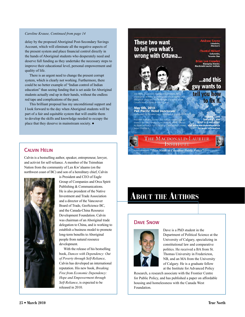#### *Caroline Krause, Continued from page 14*

delay by the proposed Aboriginal Post-Secondary Savings Account, which will eliminate all the negative aspects of the present system and place financial control directly in the hands of Aboriginal students who desperately need and deserve full funding as they undertake the necessary steps to improve their educational level, personal empowerment and quality of life.

There is an urgent need to change the present corrupt system, which is clearly not working. Furthermore, there could be no better example of "Indian control of Indian education" than seeing funding that is set aside for Aboriginal students actually end up in their hands, without the endless red tape and complications of the past.

This brilliant proposal has my unconditional support and I look forward to the day when Aboriginal students will be part of a fair and equitable system that will enable them to develop the skills and knowledge needed to occupy the place that they deserve in mainstream society. ●



#### Calvin Helin

Calvin is a bestselling author, speaker, entrepreneur, lawyer, and activist for self-reliance. A member of the Tsimshian Nation from the community of Lax Kw'alaams (on the northwest coast of BC) and son of a hereditary chief, Calvin



is President and CEO of Eagle Group of Companies and Orca Spirit Publishing & Communications. He is also president of the Native Investment and Trade Association and a director of the Vancouver Board of Trade, GeoScience BC, and the Canada-China Resource Development Foundation. Calvin was chairman of an Aboriginal trade delegation to China, and is working to establish a business model to promote long-term benefits to Aboriginal people from natural resource development.

With the release of his bestselling book, *Dances with Dependency: Out of Poverty through Self-Reliance*, Calvin has developed an international reputation. His new book, *Breaking Free from Economic Dependency: Hope and Empowerment through Self-Reliance*, is expected to be released in 2010.

# **About the Authors**

#### Dave Snow



Dave is a PhD student in the Department of Political Science at the University of Calgary, specializing in constitutional law and comparative politics. He received a BA from St. Thomas University in Fredericton, NB, and an MA from the University of Calgary. He is a graduate fellow at the Institute for Advanced Policy

Research, a research associate with the Frontier Centre for Public Policy, and has published a paper on affordable housing and homelessness with the Canada West Foundation.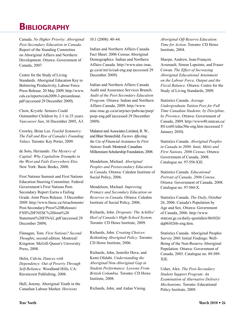# **BIBLIOGRAPHY**

Canada. *No Higher Priority: Aboriginal Post-Secondary Education in Canada*. Report of the Standing Committee on Aboriginal Affairs and Northern Development. Ottawa: Government of Canada, 2007.

Centre for the Study of Living Standards. Aboriginal Education Key to Bolstering Productivity, Labour Force. Press Release. 20 May 2009. http://www. csls.ca/reports/csls2009-3-pressrelease. pdf (accessed 29 December 2009).

Chow, Krystle. Seniors Could Outnumber Children by 2-1 in 25 years. *Vancouver Sun*, 16 December 2005, A3.

Crowley, Brian Lee. *Fearful Symmetry: The Fall and Rise of Canada's Founding Values*. Toronto: Key Porter, 2009.

de Soto, Hernando. *The Mystery of Capital: Why Capitalism Triumphs in the West and Fails Everywhere Else*. New York: Basic Books, 2000.

First Nations Summit and First Nations Education Steering Committee. Federal Government's First Nations Post-Secondary Report Earns a Failing Grade. Joint Press Release. 3 December 2009. http://www.fnesc.ca/Attachments/ Post-Secondary/Press%20Releases/ FNS%20FNESC%20Joint%20 Statement%20FINAL.pdf (accessed 29 December 2009).

Flanagan, Tom. *First Nations? Second Thoughts*, second edition. Montreal/ Kingston: McGill-Queen's University Press, 2008.

Helin, Calvin. *Dances with Dependency: Out of Poverty Through Self-Reliance*. Woodland Hills, CA: Ravencrest Publishing, 2008.

Hull, Jeremy. Aboriginal Youth in the Canadian Labour Market. *Horizons*

10.1 (2008): 40-44.

Indian and Northern Affairs Canada. Fact Sheet: 2006 Census Aboriginal Demographics. Indian and Northern Affairs Canada. http://www.ainc-inac. gc.ca/ai/mr/is/cad-eng.asp (accessed 29 December 2009).

Indian and Northern Affairs Canada Audit and Assurance Services Branch. *Audit of the Post-Secondary Education Program.* Ottawa: Indian and Northern Affairs Canada, 2009. http://www. ainc-inac.gc.ca/ai/arp/aev/pubs/au/psep/ psep-eng.pdf (accessed 29 December 2009).

Malatest and Associates Limited, R. W., and Blair Stonechild. *Factors Affecting the Use of Financial Assistance by First Nations Youth*. Montreal: Canadian Millennium Scholarship Foundation, 2008.

Mendelson, Michael. *Aboriginal Peoples and Postsecondary Education in Canada*. Ottawa: Caledon Institute of Social Policy, 2006.

Mendelson, Michael. *Improving Primary and Secondary Education on Reserves in Canada*. Ottawa: Caledon Institute of Social Policy, 2006.

Richards, John. *Dropouts: The Achilles' Heel of Canada's High-School System*. Toronto: CD Howe Institute, 2009.

Richards, John. *Creating Choices: Rethinking Aboriginal Policy.* Toronto: CD Howe Institute, 2006.

Richards, John, Jennifer Hove, and Kemi Ofalabi. *Understanding the Aboriginal/Non-Aboriginal Gap in Student Performance: Lessons From British Columbia.* Toronto: CD Howe Institute, 2008.

Richards, John, and Aidan Vining.

*Aboriginal Off-Reserve Education: Time for Action*. Toronto: CD Howe Institute, 2004.

Sharpe, Andrew, Jean-François Arsenault, Simon Lapointe, and Fraser Cowan. *The Effect of Increasing Aboriginal Educational Attainment on the Labour Force, Output and the Fiscal Balance.* Ottawa: Centre for the Study of Living Standards, 2009.

Statistics Canada. *Average Undergraduate Tuition Fees for Full Time Canadian Students, by Discipline, by Province*. Ottawa: Government of Canada, 2009. http://www40.statcan.ca/ l01/cst01/educ50a-eng.htm (accessed 5 January 2010).

Statistics Canada. *Aboriginal Peoples in Canada in 2006: Inuit, Métis and First Nations, 2006 Census*. Ottawa: Government of Canada, 2008. Catalogue no. 97-558-XIE.

Statistics Canada. *Educational Portrait of Canada, 2006 Census*. Ottawa: Government of Canada, 2008. Catalogue no. 97-560-X.

Statistics Canada. *The Daily*, October 26, 2006: Canada's Population by Age and Sex. Ottawa: Government of Canada, 2006. http://www. statcan.gc.ca/daily-quotidien/061026/ dq061026b-eng.htm.

Statistics Canada. Aboriginal Peoples Survey 2001 Initial Findings: Well-Being of the Non-Reserve Aboriginal Population. Ottawa: Government of Canada, 2003. Catalogue no. 89-589- XIE.

Usher, Alex. *The Post-Secondary Student Support Program: An Examination of Alternative Delivery Mechanisms.* Toronto: Educational Policy Institute, 2009.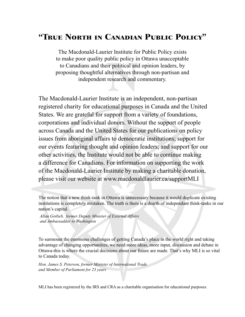### "True North in Canadian Public Policy"

The Macdonald-Laurier Institute for Public Policy exists to make poor quality public policy in Ottawa unacceptable to Canadians and their political and opinion leaders, by proposing thoughtful alternatives through non-partisan and independent research and commentary.

The Macdonald-Laurier Institute is an independent, non-partisan registered charity for educational purposes in Canada and the United States. We are grateful for support from a variety of foundations, corporations and individual donors. Without the support of people across Canada and the United States for our publications on policy issues from aboriginal affairs to democratic institutions; support for our events featuring thought and opinion leaders; and support for our other activities, the Institute would not be able to continue making a difference for Canadians. For information on supporting the work of the Macdonald-Laurier Institute by making a charitable donation, please visit our website at www.macdonaldlaurier.ca/supportMLI

*Allan Gotlieb, former Deputy Minister of External Affairs and Ambassaddor to Washington*

To surmount the enormous challenges of getting Canada's place in the world right and taking advantage of changing opportunities, we need more ideas, more input, discussion and debate in Ottawa-this is where the crucial decisions about our future are made. That's why MLI is so vital to Canada today.

*Hon. James S. Peterson, former Minister of International Trade and Member of Parliament for 23 years*

MLI has been registered by the IRS and CRA as a charitable organisation for educational purposes.

The notion that a new think-tank in Ottawa is unnecessary because it would duplicate existing institutions is completely mistaken. The truth is there is a dearth of independant think-tanks in our nation's capital.